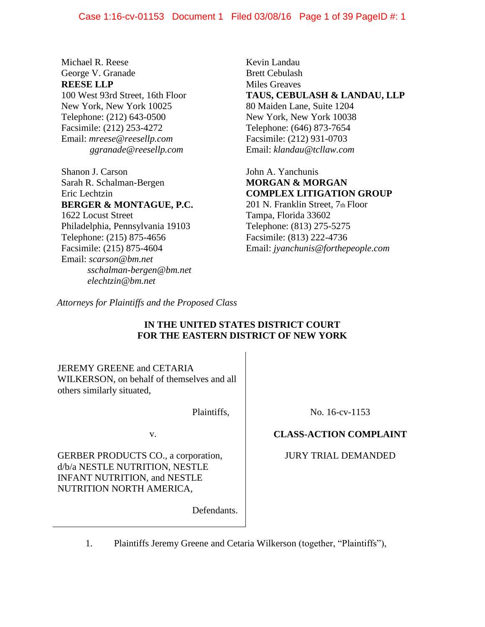Michael R. Reese George V. Granade **REESE LLP** 100 West 93rd Street, 16th Floor New York, New York 10025 Telephone: (212) 643-0500 Facsimile: (212) 253-4272 Email: *mreese@reesellp.com ggranade@reesellp.com*

Shanon J. Carson Sarah R. Schalman-Bergen Eric Lechtzin **BERGER & MONTAGUE, P.C.** 1622 Locust Street Philadelphia, Pennsylvania 19103 Telephone: (215) 875-4656 Facsimile: (215) 875-4604 Email: *scarson@bm.net sschalman-bergen@bm.net elechtzin@bm.net*

Kevin Landau Brett Cebulash Miles Greaves **TAUS, CEBULASH & LANDAU, LLP** 80 Maiden Lane, Suite 1204 New York, New York 10038 Telephone: (646) 873-7654 Facsimile: (212) 931-0703 Email: *klandau@tcllaw.com*

John A. Yanchunis **MORGAN & MORGAN COMPLEX LITIGATION GROUP** 201 N. Franklin Street, 7th Floor Tampa, Florida 33602 Telephone: (813) 275-5275 Facsimile: (813) 222-4736

Email: *jyanchunis@forthepeople.com*

*Attorneys for Plaintiffs and the Proposed Class*

## **IN THE UNITED STATES DISTRICT COURT FOR THE EASTERN DISTRICT OF NEW YORK**

JEREMY GREENE and CETARIA WILKERSON, on behalf of themselves and all others similarly situated,

Plaintiffs,

v.

GERBER PRODUCTS CO., a corporation, d/b/a NESTLE NUTRITION, NESTLE INFANT NUTRITION, and NESTLE NUTRITION NORTH AMERICA,

Defendants.

No. 16-cv-1153

## **CLASS-ACTION COMPLAINT**

JURY TRIAL DEMANDED

1. Plaintiffs Jeremy Greene and Cetaria Wilkerson (together, "Plaintiffs"),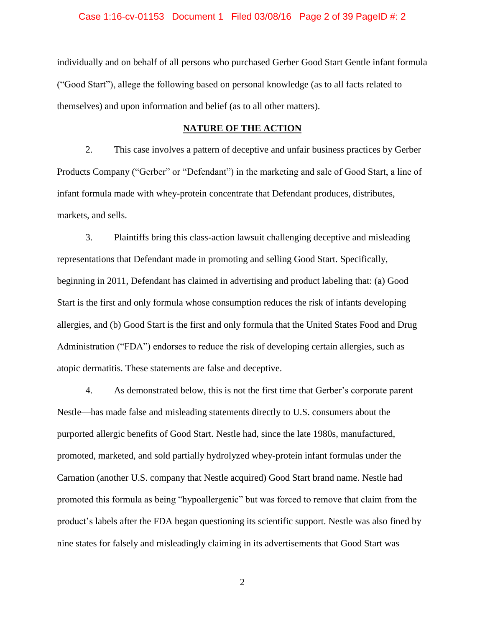### Case 1:16-cv-01153 Document 1 Filed 03/08/16 Page 2 of 39 PageID #: 2

individually and on behalf of all persons who purchased Gerber Good Start Gentle infant formula ("Good Start"), allege the following based on personal knowledge (as to all facts related to themselves) and upon information and belief (as to all other matters).

### **NATURE OF THE ACTION**

2. This case involves a pattern of deceptive and unfair business practices by Gerber Products Company ("Gerber" or "Defendant") in the marketing and sale of Good Start, a line of infant formula made with whey-protein concentrate that Defendant produces, distributes, markets, and sells.

3. Plaintiffs bring this class-action lawsuit challenging deceptive and misleading representations that Defendant made in promoting and selling Good Start. Specifically, beginning in 2011, Defendant has claimed in advertising and product labeling that: (a) Good Start is the first and only formula whose consumption reduces the risk of infants developing allergies, and (b) Good Start is the first and only formula that the United States Food and Drug Administration ("FDA") endorses to reduce the risk of developing certain allergies, such as atopic dermatitis. These statements are false and deceptive.

4. As demonstrated below, this is not the first time that Gerber's corporate parent— Nestle—has made false and misleading statements directly to U.S. consumers about the purported allergic benefits of Good Start. Nestle had, since the late 1980s, manufactured, promoted, marketed, and sold partially hydrolyzed whey-protein infant formulas under the Carnation (another U.S. company that Nestle acquired) Good Start brand name. Nestle had promoted this formula as being "hypoallergenic" but was forced to remove that claim from the product's labels after the FDA began questioning its scientific support. Nestle was also fined by nine states for falsely and misleadingly claiming in its advertisements that Good Start was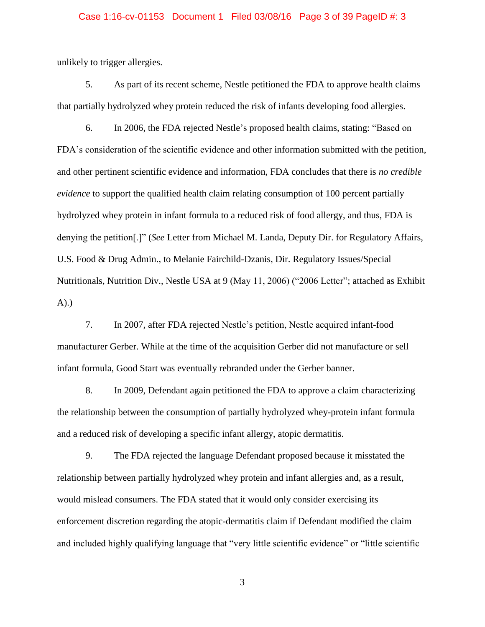#### Case 1:16-cv-01153 Document 1 Filed 03/08/16 Page 3 of 39 PageID #: 3

unlikely to trigger allergies.

5. As part of its recent scheme, Nestle petitioned the FDA to approve health claims that partially hydrolyzed whey protein reduced the risk of infants developing food allergies.

6. In 2006, the FDA rejected Nestle's proposed health claims, stating: "Based on FDA's consideration of the scientific evidence and other information submitted with the petition, and other pertinent scientific evidence and information, FDA concludes that there is *no credible evidence* to support the qualified health claim relating consumption of 100 percent partially hydrolyzed whey protein in infant formula to a reduced risk of food allergy, and thus, FDA is denying the petition[.]" (*See* Letter from Michael M. Landa, Deputy Dir. for Regulatory Affairs, U.S. Food & Drug Admin., to Melanie Fairchild-Dzanis, Dir. Regulatory Issues/Special Nutritionals, Nutrition Div., Nestle USA at 9 (May 11, 2006) ("2006 Letter"; attached as Exhibit A).)

7. In 2007, after FDA rejected Nestle's petition, Nestle acquired infant-food manufacturer Gerber. While at the time of the acquisition Gerber did not manufacture or sell infant formula, Good Start was eventually rebranded under the Gerber banner.

8. In 2009, Defendant again petitioned the FDA to approve a claim characterizing the relationship between the consumption of partially hydrolyzed whey-protein infant formula and a reduced risk of developing a specific infant allergy, atopic dermatitis.

9. The FDA rejected the language Defendant proposed because it misstated the relationship between partially hydrolyzed whey protein and infant allergies and, as a result, would mislead consumers. The FDA stated that it would only consider exercising its enforcement discretion regarding the atopic-dermatitis claim if Defendant modified the claim and included highly qualifying language that "very little scientific evidence" or "little scientific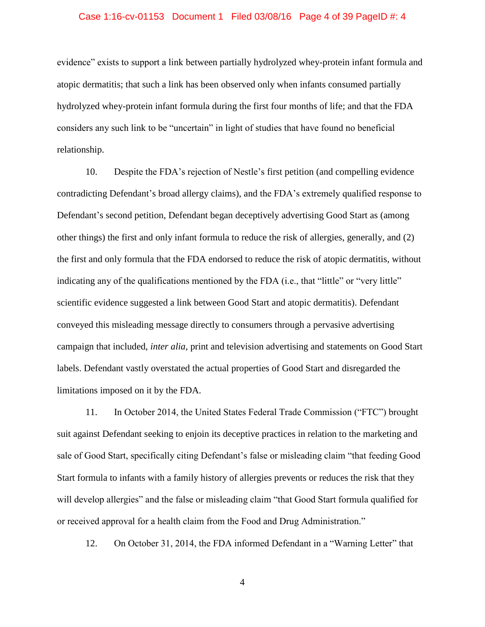#### Case 1:16-cv-01153 Document 1 Filed 03/08/16 Page 4 of 39 PageID #: 4

evidence" exists to support a link between partially hydrolyzed whey-protein infant formula and atopic dermatitis; that such a link has been observed only when infants consumed partially hydrolyzed whey-protein infant formula during the first four months of life; and that the FDA considers any such link to be "uncertain" in light of studies that have found no beneficial relationship.

10. Despite the FDA's rejection of Nestle's first petition (and compelling evidence contradicting Defendant's broad allergy claims), and the FDA's extremely qualified response to Defendant's second petition, Defendant began deceptively advertising Good Start as (among other things) the first and only infant formula to reduce the risk of allergies, generally, and (2) the first and only formula that the FDA endorsed to reduce the risk of atopic dermatitis, without indicating any of the qualifications mentioned by the FDA (i.e., that "little" or "very little" scientific evidence suggested a link between Good Start and atopic dermatitis). Defendant conveyed this misleading message directly to consumers through a pervasive advertising campaign that included, *inter alia*, print and television advertising and statements on Good Start labels. Defendant vastly overstated the actual properties of Good Start and disregarded the limitations imposed on it by the FDA.

11. In October 2014, the United States Federal Trade Commission ("FTC") brought suit against Defendant seeking to enjoin its deceptive practices in relation to the marketing and sale of Good Start, specifically citing Defendant's false or misleading claim "that feeding Good Start formula to infants with a family history of allergies prevents or reduces the risk that they will develop allergies" and the false or misleading claim "that Good Start formula qualified for or received approval for a health claim from the Food and Drug Administration."

12. On October 31, 2014, the FDA informed Defendant in a "Warning Letter" that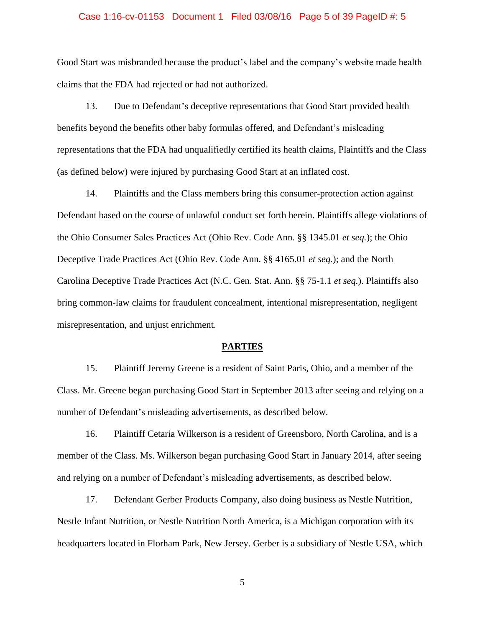### Case 1:16-cv-01153 Document 1 Filed 03/08/16 Page 5 of 39 PageID #: 5

Good Start was misbranded because the product's label and the company's website made health claims that the FDA had rejected or had not authorized.

13. Due to Defendant's deceptive representations that Good Start provided health benefits beyond the benefits other baby formulas offered, and Defendant's misleading representations that the FDA had unqualifiedly certified its health claims, Plaintiffs and the Class (as defined below) were injured by purchasing Good Start at an inflated cost.

14. Plaintiffs and the Class members bring this consumer-protection action against Defendant based on the course of unlawful conduct set forth herein. Plaintiffs allege violations of the Ohio Consumer Sales Practices Act (Ohio Rev. Code Ann. §§ 1345.01 *et seq.*); the Ohio Deceptive Trade Practices Act (Ohio Rev. Code Ann. §§ 4165.01 *et seq.*); and the North Carolina Deceptive Trade Practices Act (N.C. Gen. Stat. Ann. §§ 75-1.1 *et seq.*). Plaintiffs also bring common-law claims for fraudulent concealment, intentional misrepresentation, negligent misrepresentation, and unjust enrichment.

#### **PARTIES**

15. Plaintiff Jeremy Greene is a resident of Saint Paris, Ohio, and a member of the Class. Mr. Greene began purchasing Good Start in September 2013 after seeing and relying on a number of Defendant's misleading advertisements, as described below.

16. Plaintiff Cetaria Wilkerson is a resident of Greensboro, North Carolina, and is a member of the Class. Ms. Wilkerson began purchasing Good Start in January 2014, after seeing and relying on a number of Defendant's misleading advertisements, as described below.

17. Defendant Gerber Products Company, also doing business as Nestle Nutrition, Nestle Infant Nutrition, or Nestle Nutrition North America, is a Michigan corporation with its headquarters located in Florham Park, New Jersey. Gerber is a subsidiary of Nestle USA, which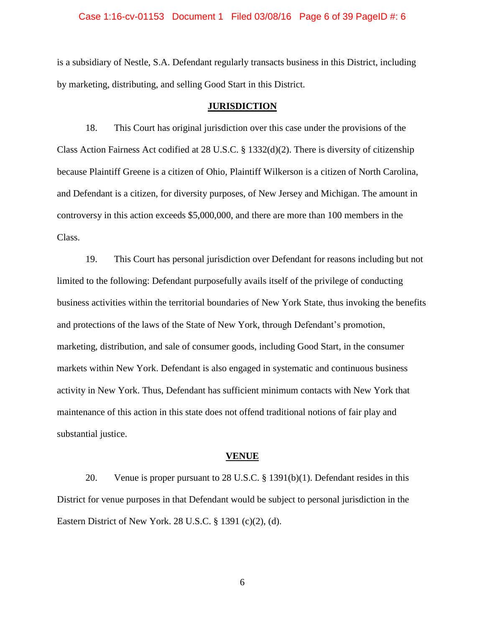### Case 1:16-cv-01153 Document 1 Filed 03/08/16 Page 6 of 39 PageID #: 6

is a subsidiary of Nestle, S.A. Defendant regularly transacts business in this District, including by marketing, distributing, and selling Good Start in this District.

#### **JURISDICTION**

18. This Court has original jurisdiction over this case under the provisions of the Class Action Fairness Act codified at 28 U.S.C. § 1332(d)(2). There is diversity of citizenship because Plaintiff Greene is a citizen of Ohio, Plaintiff Wilkerson is a citizen of North Carolina, and Defendant is a citizen, for diversity purposes, of New Jersey and Michigan. The amount in controversy in this action exceeds \$5,000,000, and there are more than 100 members in the Class.

19. This Court has personal jurisdiction over Defendant for reasons including but not limited to the following: Defendant purposefully avails itself of the privilege of conducting business activities within the territorial boundaries of New York State, thus invoking the benefits and protections of the laws of the State of New York, through Defendant's promotion, marketing, distribution, and sale of consumer goods, including Good Start, in the consumer markets within New York. Defendant is also engaged in systematic and continuous business activity in New York. Thus, Defendant has sufficient minimum contacts with New York that maintenance of this action in this state does not offend traditional notions of fair play and substantial justice.

#### **VENUE**

20. Venue is proper pursuant to 28 U.S.C. § 1391(b)(1). Defendant resides in this District for venue purposes in that Defendant would be subject to personal jurisdiction in the Eastern District of New York. 28 U.S.C. § 1391 (c)(2), (d).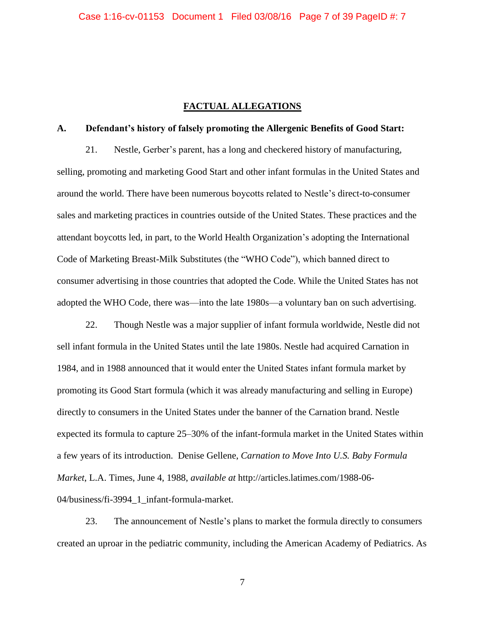### **FACTUAL ALLEGATIONS**

### **A. Defendant's history of falsely promoting the Allergenic Benefits of Good Start:**

21. Nestle, Gerber's parent, has a long and checkered history of manufacturing, selling, promoting and marketing Good Start and other infant formulas in the United States and around the world. There have been numerous boycotts related to Nestle's direct-to-consumer sales and marketing practices in countries outside of the United States. These practices and the attendant boycotts led, in part, to the World Health Organization's adopting the International Code of Marketing Breast-Milk Substitutes (the "WHO Code"), which banned direct to consumer advertising in those countries that adopted the Code. While the United States has not adopted the WHO Code, there was—into the late 1980s—a voluntary ban on such advertising.

22. Though Nestle was a major supplier of infant formula worldwide, Nestle did not sell infant formula in the United States until the late 1980s. Nestle had acquired Carnation in 1984, and in 1988 announced that it would enter the United States infant formula market by promoting its Good Start formula (which it was already manufacturing and selling in Europe) directly to consumers in the United States under the banner of the Carnation brand. Nestle expected its formula to capture 25–30% of the infant-formula market in the United States within a few years of its introduction. Denise Gellene, *Carnation to Move Into U.S. Baby Formula Market*, L.A. Times, June 4, 1988, *available at* http://articles.latimes.com/1988-06- 04/business/fi-3994\_1\_infant-formula-market.

23. The announcement of Nestle's plans to market the formula directly to consumers created an uproar in the pediatric community, including the American Academy of Pediatrics. As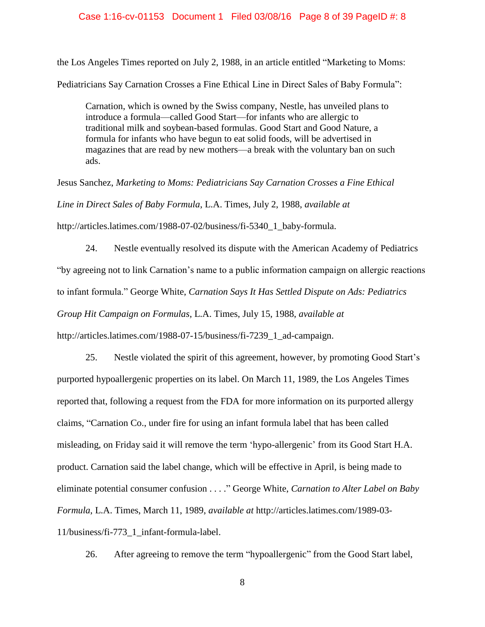### Case 1:16-cv-01153 Document 1 Filed 03/08/16 Page 8 of 39 PageID #: 8

the Los Angeles Times reported on July 2, 1988, in an article entitled "Marketing to Moms: Pediatricians Say Carnation Crosses a Fine Ethical Line in Direct Sales of Baby Formula":

Carnation, which is owned by the Swiss company, Nestle, has unveiled plans to introduce a formula—called Good Start—for infants who are allergic to traditional milk and soybean-based formulas. Good Start and Good Nature, a formula for infants who have begun to eat solid foods, will be advertised in magazines that are read by new mothers—a break with the voluntary ban on such ads.

Jesus Sanchez, *Marketing to Moms: Pediatricians Say Carnation Crosses a Fine Ethical Line in Direct Sales of Baby Formula*, L.A. Times, July 2, 1988, *available at*  http://articles.latimes.com/1988-07-02/business/fi-5340\_1\_baby-formula.

24. Nestle eventually resolved its dispute with the American Academy of Pediatrics "by agreeing not to link Carnation's name to a public information campaign on allergic reactions to infant formula." George White, *Carnation Says It Has Settled Dispute on Ads: Pediatrics Group Hit Campaign on Formulas*, L.A. Times, July 15, 1988, *available at*  http://articles.latimes.com/1988-07-15/business/fi-7239\_1\_ad-campaign.

25. Nestle violated the spirit of this agreement, however, by promoting Good Start's purported hypoallergenic properties on its label. On March 11, 1989, the Los Angeles Times reported that, following a request from the FDA for more information on its purported allergy claims, "Carnation Co., under fire for using an infant formula label that has been called misleading, on Friday said it will remove the term 'hypo-allergenic' from its Good Start H.A. product. Carnation said the label change, which will be effective in April, is being made to eliminate potential consumer confusion . . . ." George White, *Carnation to Alter Label on Baby Formula*, L.A. Times, March 11, 1989, *available at* http://articles.latimes.com/1989-03- 11/business/fi-773\_1\_infant-formula-label.

26. After agreeing to remove the term "hypoallergenic" from the Good Start label,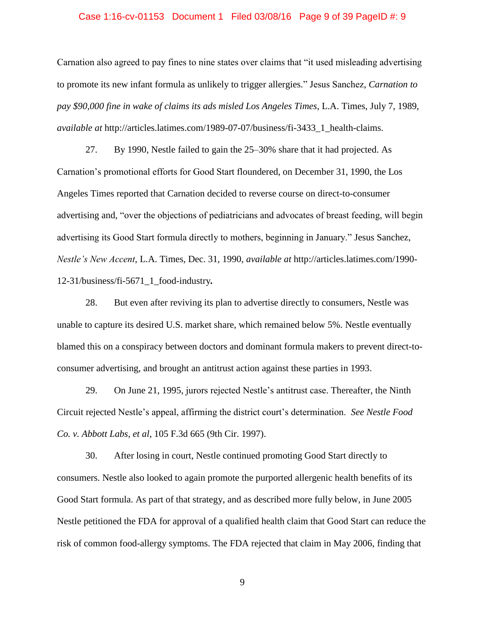### Case 1:16-cv-01153 Document 1 Filed 03/08/16 Page 9 of 39 PageID #: 9

Carnation also agreed to pay fines to nine states over claims that "it used misleading advertising to promote its new infant formula as unlikely to trigger allergies." Jesus Sanchez, *Carnation to pay \$90,000 fine in wake of claims its ads misled Los Angeles Times*, L.A. Times, July 7, 1989, *available at http://articles.latimes.com/1989-07-07/business/fi-3433* 1 health-claims.

27. By 1990, Nestle failed to gain the 25–30% share that it had projected. As Carnation's promotional efforts for Good Start floundered, on December 31, 1990, the Los Angeles Times reported that Carnation decided to reverse course on direct-to-consumer advertising and, "over the objections of pediatricians and advocates of breast feeding, will begin advertising its Good Start formula directly to mothers, beginning in January." Jesus Sanchez, *Nestle's New Accent*, L.A. Times, Dec. 31, 1990, *available at* http://articles.latimes.com/1990- 12-31/business/fi-5671\_1\_food-industry*.*

28. But even after reviving its plan to advertise directly to consumers, Nestle was unable to capture its desired U.S. market share, which remained below 5%. Nestle eventually blamed this on a conspiracy between doctors and dominant formula makers to prevent direct-toconsumer advertising, and brought an antitrust action against these parties in 1993.

29. On June 21, 1995, jurors rejected Nestle's antitrust case. Thereafter, the Ninth Circuit rejected Nestle's appeal, affirming the district court's determination. *See Nestle Food Co. v. Abbott Labs, et al*, 105 F.3d 665 (9th Cir. 1997).

30. After losing in court, Nestle continued promoting Good Start directly to consumers. Nestle also looked to again promote the purported allergenic health benefits of its Good Start formula. As part of that strategy, and as described more fully below, in June 2005 Nestle petitioned the FDA for approval of a qualified health claim that Good Start can reduce the risk of common food-allergy symptoms. The FDA rejected that claim in May 2006, finding that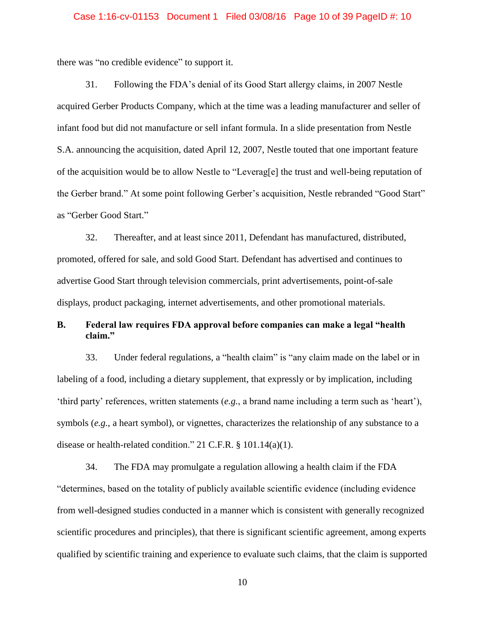#### Case 1:16-cv-01153 Document 1 Filed 03/08/16 Page 10 of 39 PageID #: 10

there was "no credible evidence" to support it.

31. Following the FDA's denial of its Good Start allergy claims, in 2007 Nestle acquired Gerber Products Company, which at the time was a leading manufacturer and seller of infant food but did not manufacture or sell infant formula. In a slide presentation from Nestle S.A. announcing the acquisition, dated April 12, 2007, Nestle touted that one important feature of the acquisition would be to allow Nestle to "Leverag[e] the trust and well-being reputation of the Gerber brand." At some point following Gerber's acquisition, Nestle rebranded "Good Start" as "Gerber Good Start."

32. Thereafter, and at least since 2011, Defendant has manufactured, distributed, promoted, offered for sale, and sold Good Start. Defendant has advertised and continues to advertise Good Start through television commercials, print advertisements, point-of-sale displays, product packaging, internet advertisements, and other promotional materials.

## **B. Federal law requires FDA approval before companies can make a legal "health claim."**

33. Under federal regulations, a "health claim" is "any claim made on the label or in labeling of a food, including a dietary supplement, that expressly or by implication, including 'third party' references, written statements (*e.g.*, a brand name including a term such as 'heart'), symbols (*e.g.*, a heart symbol), or vignettes, characterizes the relationship of any substance to a disease or health-related condition." 21 C.F.R. § 101.14(a)(1).

34. The FDA may promulgate a regulation allowing a health claim if the FDA "determines, based on the totality of publicly available scientific evidence (including evidence from well-designed studies conducted in a manner which is consistent with generally recognized scientific procedures and principles), that there is significant scientific agreement, among experts qualified by scientific training and experience to evaluate such claims, that the claim is supported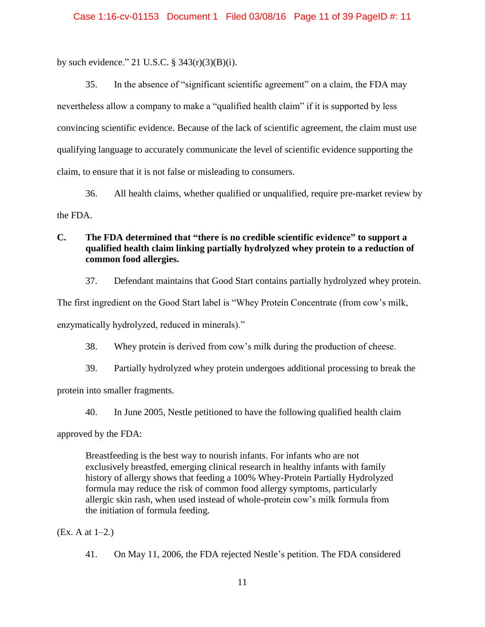by such evidence." 21 U.S.C.  $\S$  343(r)(3)(B)(i).

35. In the absence of "significant scientific agreement" on a claim, the FDA may nevertheless allow a company to make a "qualified health claim" if it is supported by less convincing scientific evidence. Because of the lack of scientific agreement, the claim must use qualifying language to accurately communicate the level of scientific evidence supporting the claim, to ensure that it is not false or misleading to consumers.

36. All health claims, whether qualified or unqualified, require pre-market review by the FDA.

## **C. The FDA determined that "there is no credible scientific evidence" to support a qualified health claim linking partially hydrolyzed whey protein to a reduction of common food allergies.**

37. Defendant maintains that Good Start contains partially hydrolyzed whey protein.

The first ingredient on the Good Start label is "Whey Protein Concentrate (from cow's milk,

enzymatically hydrolyzed, reduced in minerals)."

38. Whey protein is derived from cow's milk during the production of cheese.

39. Partially hydrolyzed whey protein undergoes additional processing to break the

protein into smaller fragments.

40. In June 2005, Nestle petitioned to have the following qualified health claim

approved by the FDA:

Breastfeeding is the best way to nourish infants. For infants who are not exclusively breastfed, emerging clinical research in healthy infants with family history of allergy shows that feeding a 100% Whey-Protein Partially Hydrolyzed formula may reduce the risk of common food allergy symptoms, particularly allergic skin rash, when used instead of whole-protein cow's milk formula from the initiation of formula feeding.

(Ex. A at 1–2.)

41. On May 11, 2006, the FDA rejected Nestle's petition. The FDA considered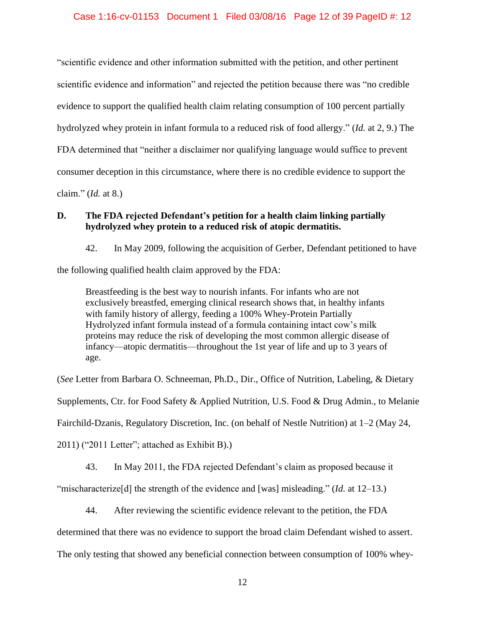"scientific evidence and other information submitted with the petition, and other pertinent scientific evidence and information" and rejected the petition because there was "no credible evidence to support the qualified health claim relating consumption of 100 percent partially hydrolyzed whey protein in infant formula to a reduced risk of food allergy." (*Id.* at 2, 9.) The FDA determined that "neither a disclaimer nor qualifying language would suffice to prevent consumer deception in this circumstance, where there is no credible evidence to support the claim." (*Id.* at 8.)

**D. The FDA rejected Defendant's petition for a health claim linking partially** 

**hydrolyzed whey protein to a reduced risk of atopic dermatitis.**

42. In May 2009, following the acquisition of Gerber, Defendant petitioned to have

the following qualified health claim approved by the FDA:

Breastfeeding is the best way to nourish infants. For infants who are not exclusively breastfed, emerging clinical research shows that, in healthy infants with family history of allergy, feeding a 100% Whey-Protein Partially Hydrolyzed infant formula instead of a formula containing intact cow's milk proteins may reduce the risk of developing the most common allergic disease of infancy—atopic dermatitis—throughout the 1st year of life and up to 3 years of age.

(*See* Letter from Barbara O. Schneeman, Ph.D., Dir., Office of Nutrition, Labeling, & Dietary

Supplements, Ctr. for Food Safety & Applied Nutrition, U.S. Food & Drug Admin., to Melanie

Fairchild-Dzanis, Regulatory Discretion, Inc. (on behalf of Nestle Nutrition) at 1–2 (May 24,

2011) ("2011 Letter"; attached as Exhibit B).)

43. In May 2011, the FDA rejected Defendant's claim as proposed because it

"mischaracterize[d] the strength of the evidence and [was] misleading." (*Id.* at 12–13.)

44. After reviewing the scientific evidence relevant to the petition, the FDA

determined that there was no evidence to support the broad claim Defendant wished to assert.

The only testing that showed any beneficial connection between consumption of 100% whey-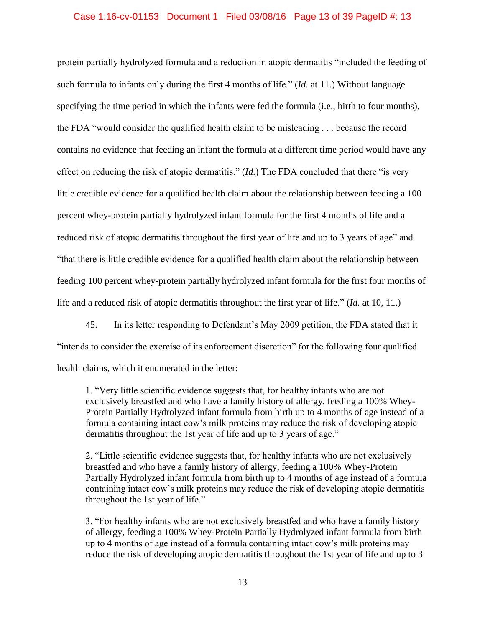### Case 1:16-cv-01153 Document 1 Filed 03/08/16 Page 13 of 39 PageID #: 13

protein partially hydrolyzed formula and a reduction in atopic dermatitis "included the feeding of such formula to infants only during the first 4 months of life." (*Id.* at 11.) Without language specifying the time period in which the infants were fed the formula (i.e., birth to four months), the FDA "would consider the qualified health claim to be misleading . . . because the record contains no evidence that feeding an infant the formula at a different time period would have any effect on reducing the risk of atopic dermatitis." (*Id.*) The FDA concluded that there "is very little credible evidence for a qualified health claim about the relationship between feeding a 100 percent whey-protein partially hydrolyzed infant formula for the first 4 months of life and a reduced risk of atopic dermatitis throughout the first year of life and up to 3 years of age" and "that there is little credible evidence for a qualified health claim about the relationship between feeding 100 percent whey-protein partially hydrolyzed infant formula for the first four months of life and a reduced risk of atopic dermatitis throughout the first year of life." (*Id.* at 10, 11.)

45. In its letter responding to Defendant's May 2009 petition, the FDA stated that it "intends to consider the exercise of its enforcement discretion" for the following four qualified health claims, which it enumerated in the letter:

1. "Very little scientific evidence suggests that, for healthy infants who are not exclusively breastfed and who have a family history of allergy, feeding a 100% Whey-Protein Partially Hydrolyzed infant formula from birth up to 4 months of age instead of a formula containing intact cow's milk proteins may reduce the risk of developing atopic dermatitis throughout the 1st year of life and up to 3 years of age."

2. "Little scientific evidence suggests that, for healthy infants who are not exclusively breastfed and who have a family history of allergy, feeding a 100% Whey-Protein Partially Hydrolyzed infant formula from birth up to 4 months of age instead of a formula containing intact cow's milk proteins may reduce the risk of developing atopic dermatitis throughout the 1st year of life."

3. "For healthy infants who are not exclusively breastfed and who have a family history of allergy, feeding a 100% Whey-Protein Partially Hydrolyzed infant formula from birth up to 4 months of age instead of a formula containing intact cow's milk proteins may reduce the risk of developing atopic dermatitis throughout the 1st year of life and up to 3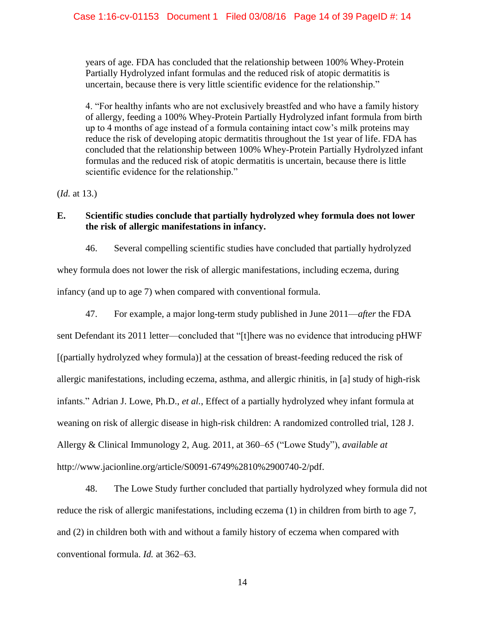years of age. FDA has concluded that the relationship between 100% Whey-Protein Partially Hydrolyzed infant formulas and the reduced risk of atopic dermatitis is uncertain, because there is very little scientific evidence for the relationship."

4. "For healthy infants who are not exclusively breastfed and who have a family history of allergy, feeding a 100% Whey-Protein Partially Hydrolyzed infant formula from birth up to 4 months of age instead of a formula containing intact cow's milk proteins may reduce the risk of developing atopic dermatitis throughout the 1st year of life. FDA has concluded that the relationship between 100% Whey-Protein Partially Hydrolyzed infant formulas and the reduced risk of atopic dermatitis is uncertain, because there is little scientific evidence for the relationship."

(*Id.* at 13.)

## **E. Scientific studies conclude that partially hydrolyzed whey formula does not lower the risk of allergic manifestations in infancy.**

46. Several compelling scientific studies have concluded that partially hydrolyzed whey formula does not lower the risk of allergic manifestations, including eczema, during infancy (and up to age 7) when compared with conventional formula.

47. For example, a major long-term study published in June 2011—*after* the FDA sent Defendant its 2011 letter—concluded that "[t]here was no evidence that introducing pHWF [(partially hydrolyzed whey formula)] at the cessation of breast-feeding reduced the risk of allergic manifestations, including eczema, asthma, and allergic rhinitis, in [a] study of high-risk infants." Adrian J. Lowe, Ph.D., *et al.*, Effect of a partially hydrolyzed whey infant formula at weaning on risk of allergic disease in high-risk children: A randomized controlled trial, 128 J. Allergy & Clinical Immunology 2, Aug. 2011, at 360–65 ("Lowe Study"), *available at*  http://www.jacionline.org/article/S0091-6749%2810%2900740-2/pdf.

48. The Lowe Study further concluded that partially hydrolyzed whey formula did not reduce the risk of allergic manifestations, including eczema (1) in children from birth to age 7, and (2) in children both with and without a family history of eczema when compared with conventional formula. *Id.* at 362–63.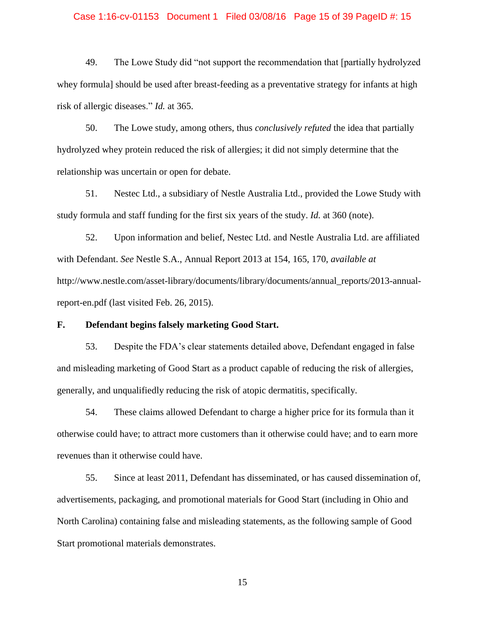#### Case 1:16-cv-01153 Document 1 Filed 03/08/16 Page 15 of 39 PageID #: 15

49. The Lowe Study did "not support the recommendation that [partially hydrolyzed whey formula] should be used after breast-feeding as a preventative strategy for infants at high risk of allergic diseases." *Id.* at 365.

50. The Lowe study, among others, thus *conclusively refuted* the idea that partially hydrolyzed whey protein reduced the risk of allergies; it did not simply determine that the relationship was uncertain or open for debate.

51. Nestec Ltd., a subsidiary of Nestle Australia Ltd., provided the Lowe Study with study formula and staff funding for the first six years of the study. *Id.* at 360 (note).

52. Upon information and belief, Nestec Ltd. and Nestle Australia Ltd. are affiliated with Defendant. *See* Nestle S.A., Annual Report 2013 at 154, 165, 170, *available at* http://www.nestle.com/asset-library/documents/library/documents/annual\_reports/2013-annualreport-en.pdf (last visited Feb. 26, 2015).

### **F. Defendant begins falsely marketing Good Start.**

53. Despite the FDA's clear statements detailed above, Defendant engaged in false and misleading marketing of Good Start as a product capable of reducing the risk of allergies, generally, and unqualifiedly reducing the risk of atopic dermatitis, specifically.

54. These claims allowed Defendant to charge a higher price for its formula than it otherwise could have; to attract more customers than it otherwise could have; and to earn more revenues than it otherwise could have.

55. Since at least 2011, Defendant has disseminated, or has caused dissemination of, advertisements, packaging, and promotional materials for Good Start (including in Ohio and North Carolina) containing false and misleading statements, as the following sample of Good Start promotional materials demonstrates.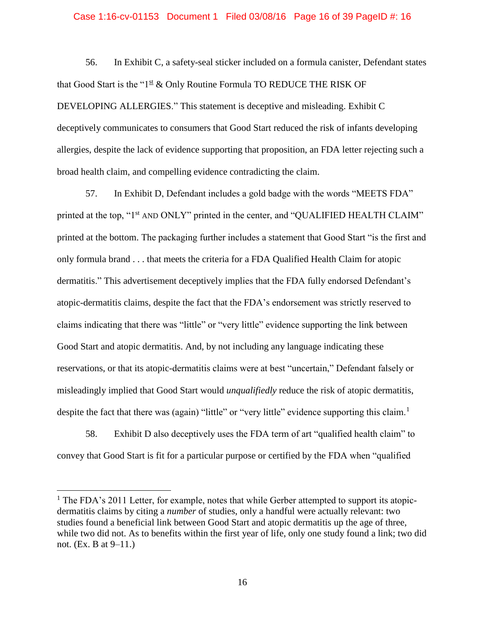#### Case 1:16-cv-01153 Document 1 Filed 03/08/16 Page 16 of 39 PageID #: 16

56. In Exhibit C, a safety-seal sticker included on a formula canister, Defendant states that Good Start is the " $1^{\underline{st}}$  & Only Routine Formula TO REDUCE THE RISK OF DEVELOPING ALLERGIES." This statement is deceptive and misleading. Exhibit C deceptively communicates to consumers that Good Start reduced the risk of infants developing allergies, despite the lack of evidence supporting that proposition, an FDA letter rejecting such a broad health claim, and compelling evidence contradicting the claim.

57. In Exhibit D, Defendant includes a gold badge with the words "MEETS FDA" printed at the top, "1<sup>st</sup> AND ONLY" printed in the center, and "QUALIFIED HEALTH CLAIM" printed at the bottom. The packaging further includes a statement that Good Start "is the first and only formula brand . . . that meets the criteria for a FDA Qualified Health Claim for atopic dermatitis." This advertisement deceptively implies that the FDA fully endorsed Defendant's atopic-dermatitis claims, despite the fact that the FDA's endorsement was strictly reserved to claims indicating that there was "little" or "very little" evidence supporting the link between Good Start and atopic dermatitis. And, by not including any language indicating these reservations, or that its atopic-dermatitis claims were at best "uncertain," Defendant falsely or misleadingly implied that Good Start would *unqualifiedly* reduce the risk of atopic dermatitis, despite the fact that there was (again) "little" or "very little" evidence supporting this claim.<sup>1</sup>

58. Exhibit D also deceptively uses the FDA term of art "qualified health claim" to convey that Good Start is fit for a particular purpose or certified by the FDA when "qualified

 $\overline{a}$ 

 $<sup>1</sup>$  The FDA's 2011 Letter, for example, notes that while Gerber attempted to support its atopic-</sup> dermatitis claims by citing a *number* of studies, only a handful were actually relevant: two studies found a beneficial link between Good Start and atopic dermatitis up the age of three, while two did not. As to benefits within the first year of life, only one study found a link; two did not. (Ex. B at 9–11.)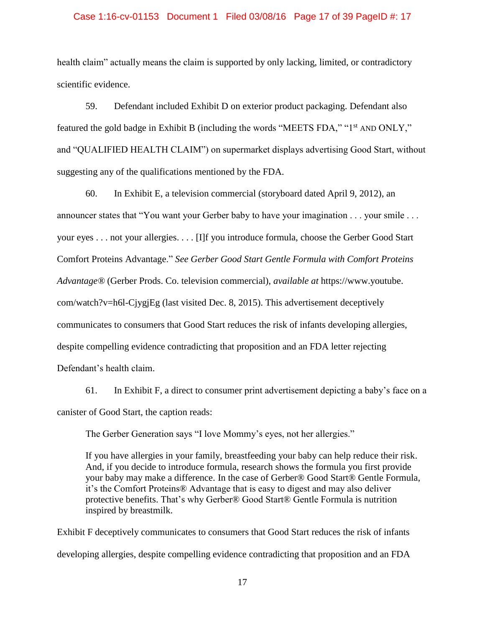#### Case 1:16-cv-01153 Document 1 Filed 03/08/16 Page 17 of 39 PageID #: 17

health claim" actually means the claim is supported by only lacking, limited, or contradictory scientific evidence.

59. Defendant included Exhibit D on exterior product packaging. Defendant also featured the gold badge in Exhibit B (including the words "MEETS FDA," "1st AND ONLY," and "QUALIFIED HEALTH CLAIM") on supermarket displays advertising Good Start, without suggesting any of the qualifications mentioned by the FDA.

60. In Exhibit E, a television commercial (storyboard dated April 9, 2012), an announcer states that "You want your Gerber baby to have your imagination . . . your smile . . . your eyes . . . not your allergies. . . . [I]f you introduce formula, choose the Gerber Good Start Comfort Proteins Advantage." *See Gerber Good Start Gentle Formula with Comfort Proteins Advantage®* (Gerber Prods. Co. television commercial), *available at* https://www.youtube. com/watch?v=h6l-CjygjEg (last visited Dec. 8, 2015). This advertisement deceptively communicates to consumers that Good Start reduces the risk of infants developing allergies, despite compelling evidence contradicting that proposition and an FDA letter rejecting Defendant's health claim.

61. In Exhibit F, a direct to consumer print advertisement depicting a baby's face on a canister of Good Start, the caption reads:

The Gerber Generation says "I love Mommy's eyes, not her allergies."

If you have allergies in your family, breastfeeding your baby can help reduce their risk. And, if you decide to introduce formula, research shows the formula you first provide your baby may make a difference. In the case of Gerber® Good Start® Gentle Formula, it's the Comfort Proteins® Advantage that is easy to digest and may also deliver protective benefits. That's why Gerber® Good Start® Gentle Formula is nutrition inspired by breastmilk.

Exhibit F deceptively communicates to consumers that Good Start reduces the risk of infants developing allergies, despite compelling evidence contradicting that proposition and an FDA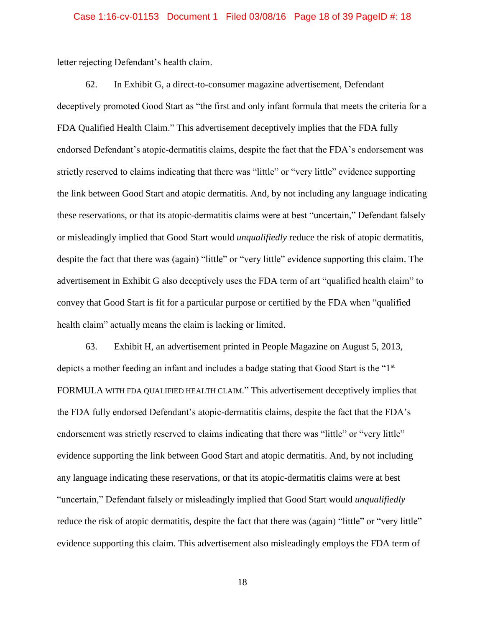#### Case 1:16-cv-01153 Document 1 Filed 03/08/16 Page 18 of 39 PageID #: 18

letter rejecting Defendant's health claim.

62. In Exhibit G, a direct-to-consumer magazine advertisement, Defendant deceptively promoted Good Start as "the first and only infant formula that meets the criteria for a FDA Qualified Health Claim." This advertisement deceptively implies that the FDA fully endorsed Defendant's atopic-dermatitis claims, despite the fact that the FDA's endorsement was strictly reserved to claims indicating that there was "little" or "very little" evidence supporting the link between Good Start and atopic dermatitis. And, by not including any language indicating these reservations, or that its atopic-dermatitis claims were at best "uncertain," Defendant falsely or misleadingly implied that Good Start would *unqualifiedly* reduce the risk of atopic dermatitis, despite the fact that there was (again) "little" or "very little" evidence supporting this claim. The advertisement in Exhibit G also deceptively uses the FDA term of art "qualified health claim" to convey that Good Start is fit for a particular purpose or certified by the FDA when "qualified health claim" actually means the claim is lacking or limited.

63. Exhibit H, an advertisement printed in People Magazine on August 5, 2013, depicts a mother feeding an infant and includes a badge stating that Good Start is the "1<sup>st</sup> FORMULA WITH FDA QUALIFIED HEALTH CLAIM." This advertisement deceptively implies that the FDA fully endorsed Defendant's atopic-dermatitis claims, despite the fact that the FDA's endorsement was strictly reserved to claims indicating that there was "little" or "very little" evidence supporting the link between Good Start and atopic dermatitis. And, by not including any language indicating these reservations, or that its atopic-dermatitis claims were at best "uncertain," Defendant falsely or misleadingly implied that Good Start would *unqualifiedly* reduce the risk of atopic dermatitis, despite the fact that there was (again) "little" or "very little" evidence supporting this claim. This advertisement also misleadingly employs the FDA term of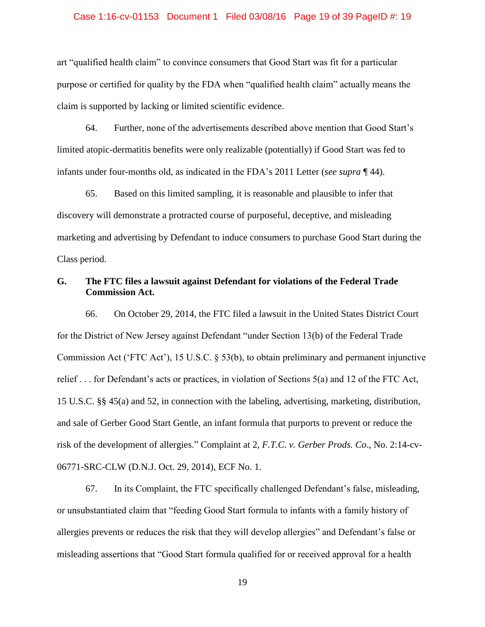#### Case 1:16-cv-01153 Document 1 Filed 03/08/16 Page 19 of 39 PageID #: 19

art "qualified health claim" to convince consumers that Good Start was fit for a particular purpose or certified for quality by the FDA when "qualified health claim" actually means the claim is supported by lacking or limited scientific evidence.

64. Further, none of the advertisements described above mention that Good Start's limited atopic-dermatitis benefits were only realizable (potentially) if Good Start was fed to infants under four-months old, as indicated in the FDA's 2011 Letter (*see supra* ¶ 44).

65. Based on this limited sampling, it is reasonable and plausible to infer that discovery will demonstrate a protracted course of purposeful, deceptive, and misleading marketing and advertising by Defendant to induce consumers to purchase Good Start during the Class period.

### **G. The FTC files a lawsuit against Defendant for violations of the Federal Trade Commission Act.**

66. On October 29, 2014, the FTC filed a lawsuit in the United States District Court for the District of New Jersey against Defendant "under Section 13(b) of the Federal Trade Commission Act ('FTC Act'), 15 U.S.C. § 53(b), to obtain preliminary and permanent injunctive relief . . . for Defendant's acts or practices, in violation of Sections 5(a) and 12 of the FTC Act, 15 U.S.C. §§ 45(a) and 52, in connection with the labeling, advertising, marketing, distribution, and sale of Gerber Good Start Gentle, an infant formula that purports to prevent or reduce the risk of the development of allergies." Complaint at 2, *F.T.C. v. Gerber Prods. Co*., No. 2:14-cv-06771-SRC-CLW (D.N.J. Oct. 29, 2014), ECF No. 1.

67. In its Complaint, the FTC specifically challenged Defendant's false, misleading, or unsubstantiated claim that "feeding Good Start formula to infants with a family history of allergies prevents or reduces the risk that they will develop allergies" and Defendant's false or misleading assertions that "Good Start formula qualified for or received approval for a health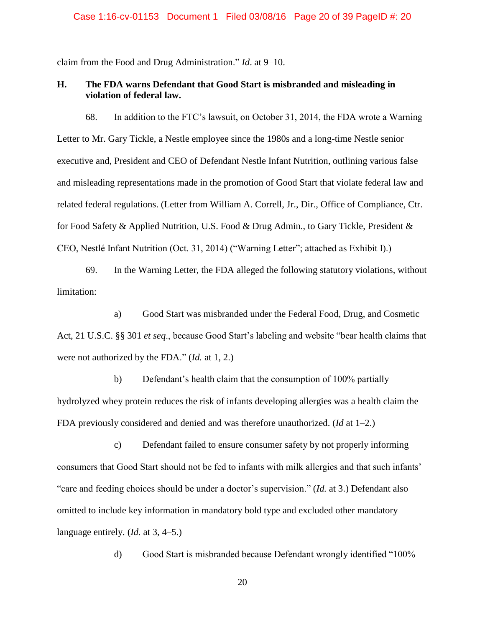claim from the Food and Drug Administration." *Id*. at 9–10.

## **H. The FDA warns Defendant that Good Start is misbranded and misleading in violation of federal law.**

68. In addition to the FTC's lawsuit, on October 31, 2014, the FDA wrote a Warning Letter to Mr. Gary Tickle, a Nestle employee since the 1980s and a long-time Nestle senior executive and, President and CEO of Defendant Nestle Infant Nutrition, outlining various false and misleading representations made in the promotion of Good Start that violate federal law and related federal regulations. (Letter from William A. Correll, Jr., Dir., Office of Compliance, Ctr. for Food Safety & Applied Nutrition, U.S. Food & Drug Admin., to Gary Tickle, President & CEO, Nestlé Infant Nutrition (Oct. 31, 2014) ("Warning Letter"; attached as Exhibit I).)

69. In the Warning Letter, the FDA alleged the following statutory violations, without limitation:

a) Good Start was misbranded under the Federal Food, Drug, and Cosmetic Act, 21 U.S.C. §§ 301 *et seq*., because Good Start's labeling and website "bear health claims that were not authorized by the FDA." (*Id.* at 1, 2.)

b) Defendant's health claim that the consumption of 100% partially hydrolyzed whey protein reduces the risk of infants developing allergies was a health claim the FDA previously considered and denied and was therefore unauthorized. (*Id* at 1–2.)

c) Defendant failed to ensure consumer safety by not properly informing consumers that Good Start should not be fed to infants with milk allergies and that such infants' "care and feeding choices should be under a doctor's supervision." (*Id.* at 3.) Defendant also omitted to include key information in mandatory bold type and excluded other mandatory language entirely. (*Id.* at 3, 4–5.)

d) Good Start is misbranded because Defendant wrongly identified "100%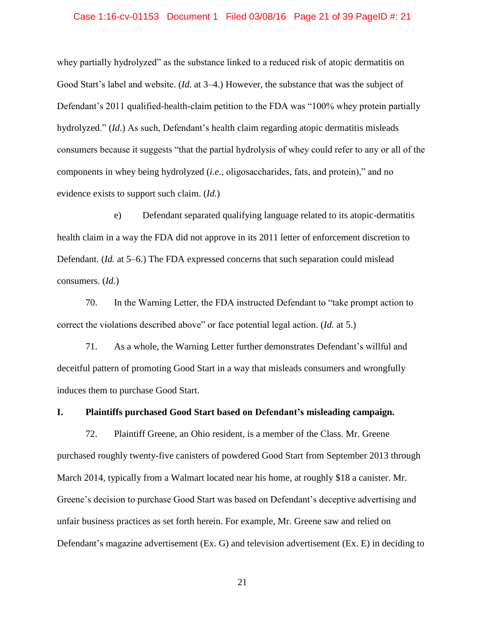#### Case 1:16-cv-01153 Document 1 Filed 03/08/16 Page 21 of 39 PageID #: 21

whey partially hydrolyzed" as the substance linked to a reduced risk of atopic dermatitis on Good Start's label and website. (*Id.* at 3–4.) However, the substance that was the subject of Defendant's 2011 qualified-health-claim petition to the FDA was "100% whey protein partially hydrolyzed." (*Id*.) As such, Defendant's health claim regarding atopic dermatitis misleads consumers because it suggests "that the partial hydrolysis of whey could refer to any or all of the components in whey being hydrolyzed (*i.e.*, oligosaccharides, fats, and protein)," and no evidence exists to support such claim. (*Id.*)

e) Defendant separated qualifying language related to its atopic-dermatitis health claim in a way the FDA did not approve in its 2011 letter of enforcement discretion to Defendant. (*Id.* at 5–6.) The FDA expressed concerns that such separation could mislead consumers. (*Id.*)

70. In the Warning Letter, the FDA instructed Defendant to "take prompt action to correct the violations described above" or face potential legal action. (*Id.* at 5.)

71. As a whole, the Warning Letter further demonstrates Defendant's willful and deceitful pattern of promoting Good Start in a way that misleads consumers and wrongfully induces them to purchase Good Start.

#### **I. Plaintiffs purchased Good Start based on Defendant's misleading campaign.**

72. Plaintiff Greene, an Ohio resident, is a member of the Class. Mr. Greene purchased roughly twenty-five canisters of powdered Good Start from September 2013 through March 2014, typically from a Walmart located near his home, at roughly \$18 a canister. Mr. Greene's decision to purchase Good Start was based on Defendant's deceptive advertising and unfair business practices as set forth herein. For example, Mr. Greene saw and relied on Defendant's magazine advertisement (Ex. G) and television advertisement (Ex. E) in deciding to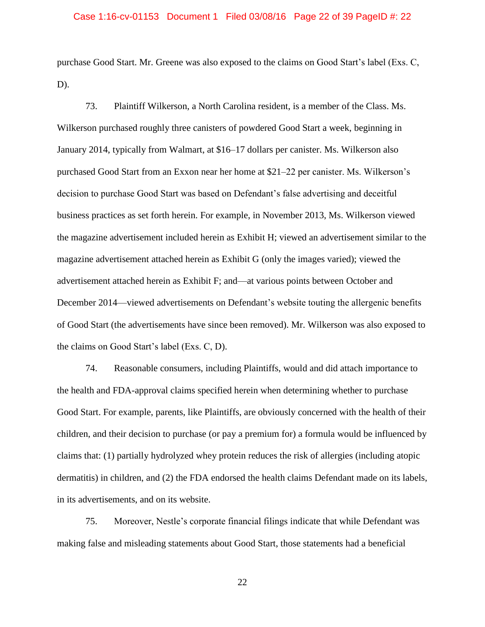#### Case 1:16-cv-01153 Document 1 Filed 03/08/16 Page 22 of 39 PageID #: 22

purchase Good Start. Mr. Greene was also exposed to the claims on Good Start's label (Exs. C, D).

73. Plaintiff Wilkerson, a North Carolina resident, is a member of the Class. Ms. Wilkerson purchased roughly three canisters of powdered Good Start a week, beginning in January 2014, typically from Walmart, at \$16–17 dollars per canister. Ms. Wilkerson also purchased Good Start from an Exxon near her home at \$21–22 per canister. Ms. Wilkerson's decision to purchase Good Start was based on Defendant's false advertising and deceitful business practices as set forth herein. For example, in November 2013, Ms. Wilkerson viewed the magazine advertisement included herein as Exhibit H; viewed an advertisement similar to the magazine advertisement attached herein as Exhibit G (only the images varied); viewed the advertisement attached herein as Exhibit F; and—at various points between October and December 2014—viewed advertisements on Defendant's website touting the allergenic benefits of Good Start (the advertisements have since been removed). Mr. Wilkerson was also exposed to the claims on Good Start's label (Exs. C, D).

74. Reasonable consumers, including Plaintiffs, would and did attach importance to the health and FDA-approval claims specified herein when determining whether to purchase Good Start. For example, parents, like Plaintiffs, are obviously concerned with the health of their children, and their decision to purchase (or pay a premium for) a formula would be influenced by claims that: (1) partially hydrolyzed whey protein reduces the risk of allergies (including atopic dermatitis) in children, and (2) the FDA endorsed the health claims Defendant made on its labels, in its advertisements, and on its website.

75. Moreover, Nestle's corporate financial filings indicate that while Defendant was making false and misleading statements about Good Start, those statements had a beneficial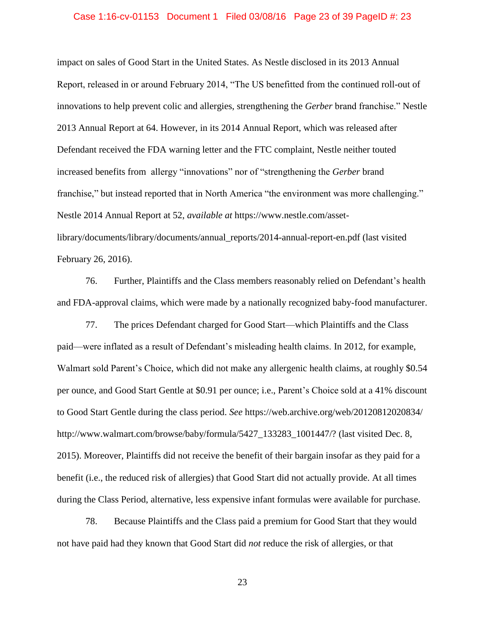#### Case 1:16-cv-01153 Document 1 Filed 03/08/16 Page 23 of 39 PageID #: 23

impact on sales of Good Start in the United States. As Nestle disclosed in its 2013 Annual Report, released in or around February 2014, "The US benefitted from the continued roll-out of innovations to help prevent colic and allergies, strengthening the *Gerber* brand franchise." Nestle 2013 Annual Report at 64. However, in its 2014 Annual Report, which was released after Defendant received the FDA warning letter and the FTC complaint, Nestle neither touted increased benefits from allergy "innovations" nor of "strengthening the *Gerber* brand franchise," but instead reported that in North America "the environment was more challenging." Nestle 2014 Annual Report at 52, *available at* https://www.nestle.com/assetlibrary/documents/library/documents/annual\_reports/2014-annual-report-en.pdf (last visited February 26, 2016).

76. Further, Plaintiffs and the Class members reasonably relied on Defendant's health and FDA-approval claims, which were made by a nationally recognized baby-food manufacturer.

77. The prices Defendant charged for Good Start—which Plaintiffs and the Class paid—were inflated as a result of Defendant's misleading health claims. In 2012, for example, Walmart sold Parent's Choice, which did not make any allergenic health claims, at roughly \$0.54 per ounce, and Good Start Gentle at \$0.91 per ounce; i.e., Parent's Choice sold at a 41% discount to Good Start Gentle during the class period. *See* https://web.archive.org/web/20120812020834/ http://www.walmart.com/browse/baby/formula/5427\_133283\_1001447/? (last visited Dec. 8, 2015). Moreover, Plaintiffs did not receive the benefit of their bargain insofar as they paid for a benefit (i.e., the reduced risk of allergies) that Good Start did not actually provide. At all times during the Class Period, alternative, less expensive infant formulas were available for purchase.

78. Because Plaintiffs and the Class paid a premium for Good Start that they would not have paid had they known that Good Start did *not* reduce the risk of allergies, or that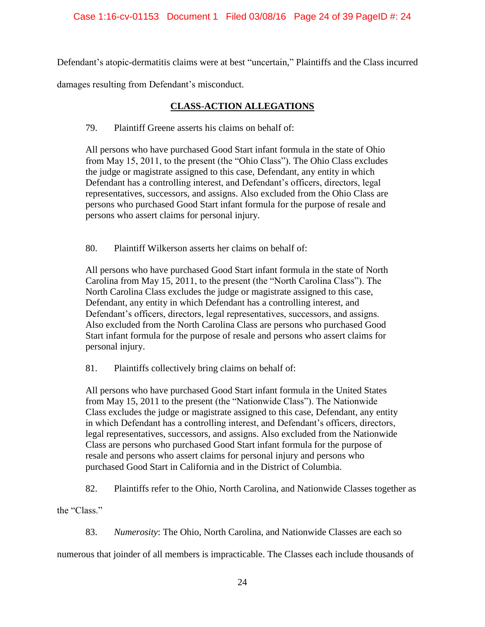Defendant's atopic-dermatitis claims were at best "uncertain," Plaintiffs and the Class incurred

damages resulting from Defendant's misconduct.

# **CLASS**-**ACTION ALLEGATIONS**

## 79. Plaintiff Greene asserts his claims on behalf of:

All persons who have purchased Good Start infant formula in the state of Ohio from May 15, 2011, to the present (the "Ohio Class"). The Ohio Class excludes the judge or magistrate assigned to this case, Defendant, any entity in which Defendant has a controlling interest, and Defendant's officers, directors, legal representatives, successors, and assigns. Also excluded from the Ohio Class are persons who purchased Good Start infant formula for the purpose of resale and persons who assert claims for personal injury.

80. Plaintiff Wilkerson asserts her claims on behalf of:

All persons who have purchased Good Start infant formula in the state of North Carolina from May 15, 2011, to the present (the "North Carolina Class"). The North Carolina Class excludes the judge or magistrate assigned to this case, Defendant, any entity in which Defendant has a controlling interest, and Defendant's officers, directors, legal representatives, successors, and assigns. Also excluded from the North Carolina Class are persons who purchased Good Start infant formula for the purpose of resale and persons who assert claims for personal injury.

81. Plaintiffs collectively bring claims on behalf of:

All persons who have purchased Good Start infant formula in the United States from May 15, 2011 to the present (the "Nationwide Class"). The Nationwide Class excludes the judge or magistrate assigned to this case, Defendant, any entity in which Defendant has a controlling interest, and Defendant's officers, directors, legal representatives, successors, and assigns. Also excluded from the Nationwide Class are persons who purchased Good Start infant formula for the purpose of resale and persons who assert claims for personal injury and persons who purchased Good Start in California and in the District of Columbia.

82. Plaintiffs refer to the Ohio, North Carolina, and Nationwide Classes together as

the "Class."

83. *Numerosity*: The Ohio, North Carolina, and Nationwide Classes are each so

numerous that joinder of all members is impracticable. The Classes each include thousands of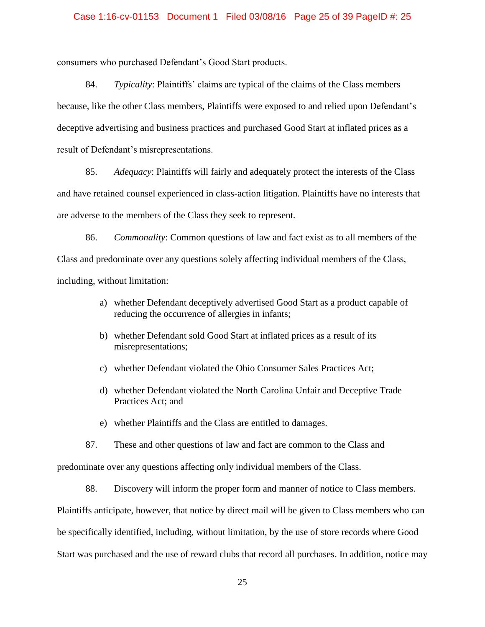## Case 1:16-cv-01153 Document 1 Filed 03/08/16 Page 25 of 39 PageID #: 25

consumers who purchased Defendant's Good Start products.

84. *Typicality*: Plaintiffs' claims are typical of the claims of the Class members because, like the other Class members, Plaintiffs were exposed to and relied upon Defendant's deceptive advertising and business practices and purchased Good Start at inflated prices as a result of Defendant's misrepresentations.

85. *Adequacy*: Plaintiffs will fairly and adequately protect the interests of the Class and have retained counsel experienced in class-action litigation. Plaintiffs have no interests that are adverse to the members of the Class they seek to represent.

86. *Commonality*: Common questions of law and fact exist as to all members of the Class and predominate over any questions solely affecting individual members of the Class, including, without limitation:

- a) whether Defendant deceptively advertised Good Start as a product capable of reducing the occurrence of allergies in infants;
- b) whether Defendant sold Good Start at inflated prices as a result of its misrepresentations;
- c) whether Defendant violated the Ohio Consumer Sales Practices Act;
- d) whether Defendant violated the North Carolina Unfair and Deceptive Trade Practices Act; and
- e) whether Plaintiffs and the Class are entitled to damages.
- 87. These and other questions of law and fact are common to the Class and

predominate over any questions affecting only individual members of the Class.

88. Discovery will inform the proper form and manner of notice to Class members.

Plaintiffs anticipate, however, that notice by direct mail will be given to Class members who can be specifically identified, including, without limitation, by the use of store records where Good Start was purchased and the use of reward clubs that record all purchases. In addition, notice may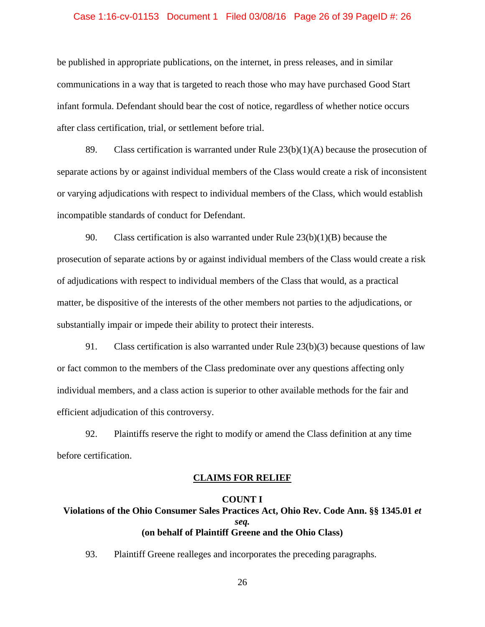#### Case 1:16-cv-01153 Document 1 Filed 03/08/16 Page 26 of 39 PageID #: 26

be published in appropriate publications, on the internet, in press releases, and in similar communications in a way that is targeted to reach those who may have purchased Good Start infant formula. Defendant should bear the cost of notice, regardless of whether notice occurs after class certification, trial, or settlement before trial.

89. Class certification is warranted under Rule  $23(b)(1)(A)$  because the prosecution of separate actions by or against individual members of the Class would create a risk of inconsistent or varying adjudications with respect to individual members of the Class, which would establish incompatible standards of conduct for Defendant.

90. Class certification is also warranted under Rule 23(b)(1)(B) because the prosecution of separate actions by or against individual members of the Class would create a risk of adjudications with respect to individual members of the Class that would, as a practical matter, be dispositive of the interests of the other members not parties to the adjudications, or substantially impair or impede their ability to protect their interests.

91. Class certification is also warranted under Rule 23(b)(3) because questions of law or fact common to the members of the Class predominate over any questions affecting only individual members, and a class action is superior to other available methods for the fair and efficient adjudication of this controversy.

92. Plaintiffs reserve the right to modify or amend the Class definition at any time before certification.

#### **CLAIMS FOR RELIEF**

## **COUNT I Violations of the Ohio Consumer Sales Practices Act, Ohio Rev. Code Ann. §§ 1345.01** *et seq.* **(on behalf of Plaintiff Greene and the Ohio Class)**

93. Plaintiff Greene realleges and incorporates the preceding paragraphs.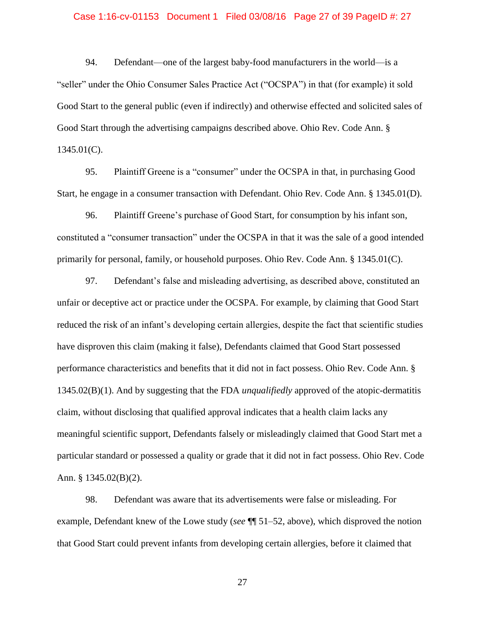#### Case 1:16-cv-01153 Document 1 Filed 03/08/16 Page 27 of 39 PageID #: 27

94. Defendant—one of the largest baby-food manufacturers in the world—is a "seller" under the Ohio Consumer Sales Practice Act ("OCSPA") in that (for example) it sold Good Start to the general public (even if indirectly) and otherwise effected and solicited sales of Good Start through the advertising campaigns described above. Ohio Rev. Code Ann. § 1345.01(C).

95. Plaintiff Greene is a "consumer" under the OCSPA in that, in purchasing Good Start, he engage in a consumer transaction with Defendant. Ohio Rev. Code Ann. § 1345.01(D).

96. Plaintiff Greene's purchase of Good Start, for consumption by his infant son, constituted a "consumer transaction" under the OCSPA in that it was the sale of a good intended primarily for personal, family, or household purposes. Ohio Rev. Code Ann. § 1345.01(C).

97. Defendant's false and misleading advertising, as described above, constituted an unfair or deceptive act or practice under the OCSPA. For example, by claiming that Good Start reduced the risk of an infant's developing certain allergies, despite the fact that scientific studies have disproven this claim (making it false), Defendants claimed that Good Start possessed performance characteristics and benefits that it did not in fact possess. Ohio Rev. Code Ann. § 1345.02(B)(1). And by suggesting that the FDA *unqualifiedly* approved of the atopic-dermatitis claim, without disclosing that qualified approval indicates that a health claim lacks any meaningful scientific support, Defendants falsely or misleadingly claimed that Good Start met a particular standard or possessed a quality or grade that it did not in fact possess. Ohio Rev. Code Ann. § 1345.02(B)(2).

98. Defendant was aware that its advertisements were false or misleading. For example, Defendant knew of the Lowe study (*see* ¶¶ 51–52, above), which disproved the notion that Good Start could prevent infants from developing certain allergies, before it claimed that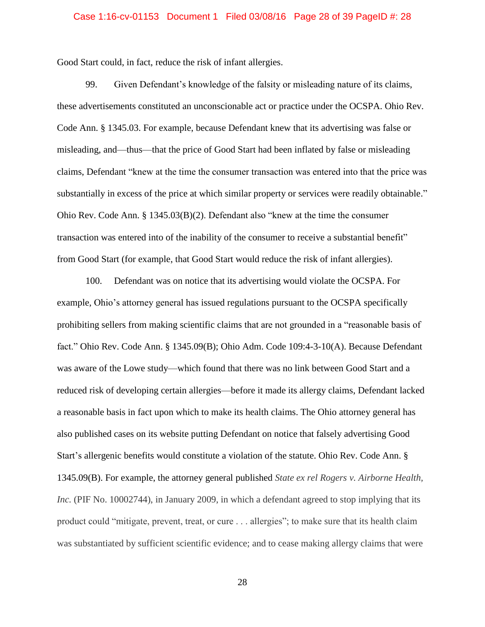#### Case 1:16-cv-01153 Document 1 Filed 03/08/16 Page 28 of 39 PageID #: 28

Good Start could, in fact, reduce the risk of infant allergies.

99. Given Defendant's knowledge of the falsity or misleading nature of its claims, these advertisements constituted an unconscionable act or practice under the OCSPA. Ohio Rev. Code Ann. § 1345.03. For example, because Defendant knew that its advertising was false or misleading, and—thus—that the price of Good Start had been inflated by false or misleading claims, Defendant "knew at the time the consumer transaction was entered into that the price was substantially in excess of the price at which similar property or services were readily obtainable." Ohio Rev. Code Ann. § 1345.03(B)(2). Defendant also "knew at the time the consumer transaction was entered into of the inability of the consumer to receive a substantial benefit" from Good Start (for example, that Good Start would reduce the risk of infant allergies).

100. Defendant was on notice that its advertising would violate the OCSPA. For example, Ohio's attorney general has issued regulations pursuant to the OCSPA specifically prohibiting sellers from making scientific claims that are not grounded in a "reasonable basis of fact." Ohio Rev. Code Ann. § 1345.09(B); Ohio Adm. Code 109:4-3-10(A). Because Defendant was aware of the Lowe study—which found that there was no link between Good Start and a reduced risk of developing certain allergies—before it made its allergy claims, Defendant lacked a reasonable basis in fact upon which to make its health claims. The Ohio attorney general has also published cases on its website putting Defendant on notice that falsely advertising Good Start's allergenic benefits would constitute a violation of the statute. Ohio Rev. Code Ann. § 1345.09(B). For example, the attorney general published *State ex rel Rogers v. Airborne Health, Inc.* (PIF No. 10002744), in January 2009, in which a defendant agreed to stop implying that its product could "mitigate, prevent, treat, or cure . . . allergies"; to make sure that its health claim was substantiated by sufficient scientific evidence; and to cease making allergy claims that were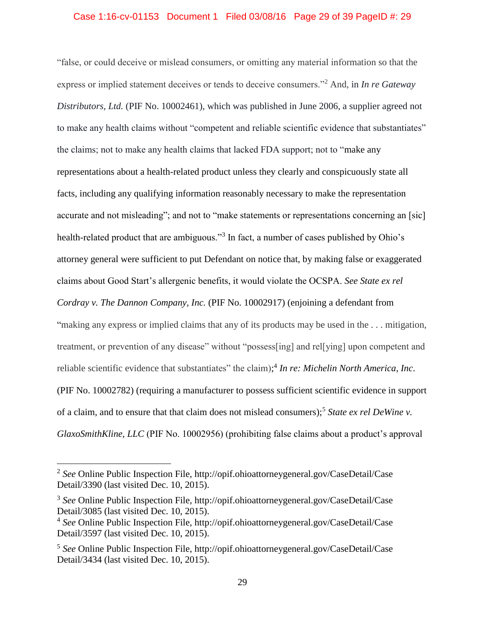### Case 1:16-cv-01153 Document 1 Filed 03/08/16 Page 29 of 39 PageID #: 29

"false, or could deceive or mislead consumers, or omitting any material information so that the express or implied statement deceives or tends to deceive consumers."<sup>2</sup> And, in *In re Gateway Distributors, Ltd.* (PIF No. 10002461), which was published in June 2006, a supplier agreed not to make any health claims without "competent and reliable scientific evidence that substantiates" the claims; not to make any health claims that lacked FDA support; not to "make any representations about a health-related product unless they clearly and conspicuously state all facts, including any qualifying information reasonably necessary to make the representation accurate and not misleading"; and not to "make statements or representations concerning an [sic] health-related product that are ambiguous."<sup>3</sup> In fact, a number of cases published by Ohio's attorney general were sufficient to put Defendant on notice that, by making false or exaggerated claims about Good Start's allergenic benefits, it would violate the OCSPA. *See State ex rel Cordray v. The Dannon Company, Inc.* (PIF No. 10002917) (enjoining a defendant from "making any express or implied claims that any of its products may be used in the . . . mitigation, treatment, or prevention of any disease" without "possess[ing] and rel[ying] upon competent and reliable scientific evidence that substantiates" the claim); 4 *In re: Michelin North America, Inc*. (PIF No. 10002782) (requiring a manufacturer to possess sufficient scientific evidence in support of a claim, and to ensure that that claim does not mislead consumers); 5 *State ex rel DeWine v. GlaxoSmithKline, LLC* (PIF No. 10002956) (prohibiting false claims about a product's approval

 $\overline{a}$ 

<sup>2</sup> *See* Online Public Inspection File, http://opif.ohioattorneygeneral.gov/CaseDetail/Case Detail/3390 (last visited Dec. 10, 2015).

<sup>3</sup> *See* Online Public Inspection File, http://opif.ohioattorneygeneral.gov/CaseDetail/Case Detail/3085 (last visited Dec. 10, 2015).

<sup>4</sup> *See* Online Public Inspection File, http://opif.ohioattorneygeneral.gov/CaseDetail/Case Detail/3597 (last visited Dec. 10, 2015).

<sup>5</sup> *See* Online Public Inspection File, http://opif.ohioattorneygeneral.gov/CaseDetail/Case Detail/3434 (last visited Dec. 10, 2015).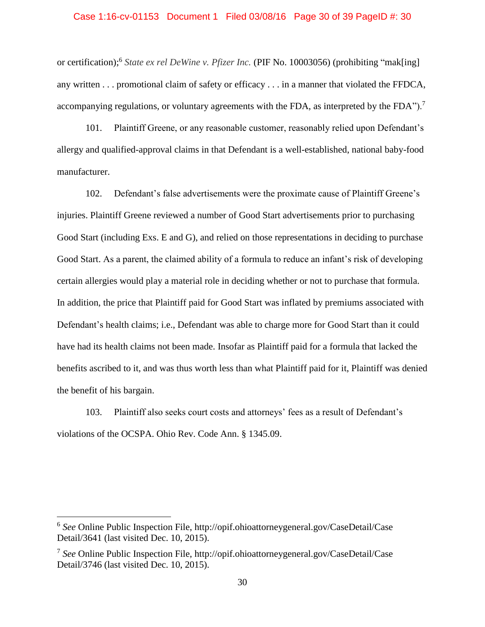#### Case 1:16-cv-01153 Document 1 Filed 03/08/16 Page 30 of 39 PageID #: 30

or certification);<sup>6</sup> *State ex rel DeWine v. Pfizer Inc.* (PIF No. 10003056) (prohibiting "mak[ing] any written . . . promotional claim of safety or efficacy . . . in a manner that violated the FFDCA, accompanying regulations, or voluntary agreements with the FDA, as interpreted by the FDA").<sup>7</sup>

101. Plaintiff Greene, or any reasonable customer, reasonably relied upon Defendant's allergy and qualified-approval claims in that Defendant is a well-established, national baby-food manufacturer.

102. Defendant's false advertisements were the proximate cause of Plaintiff Greene's injuries. Plaintiff Greene reviewed a number of Good Start advertisements prior to purchasing Good Start (including Exs. E and G), and relied on those representations in deciding to purchase Good Start. As a parent, the claimed ability of a formula to reduce an infant's risk of developing certain allergies would play a material role in deciding whether or not to purchase that formula. In addition, the price that Plaintiff paid for Good Start was inflated by premiums associated with Defendant's health claims; i.e., Defendant was able to charge more for Good Start than it could have had its health claims not been made. Insofar as Plaintiff paid for a formula that lacked the benefits ascribed to it, and was thus worth less than what Plaintiff paid for it, Plaintiff was denied the benefit of his bargain.

103. Plaintiff also seeks court costs and attorneys' fees as a result of Defendant's violations of the OCSPA. Ohio Rev. Code Ann. § 1345.09.

 $\overline{a}$ 

<sup>6</sup> *See* Online Public Inspection File, http://opif.ohioattorneygeneral.gov/CaseDetail/Case Detail/3641 (last visited Dec. 10, 2015).

<sup>7</sup> *See* Online Public Inspection File, http://opif.ohioattorneygeneral.gov/CaseDetail/Case Detail/3746 (last visited Dec. 10, 2015).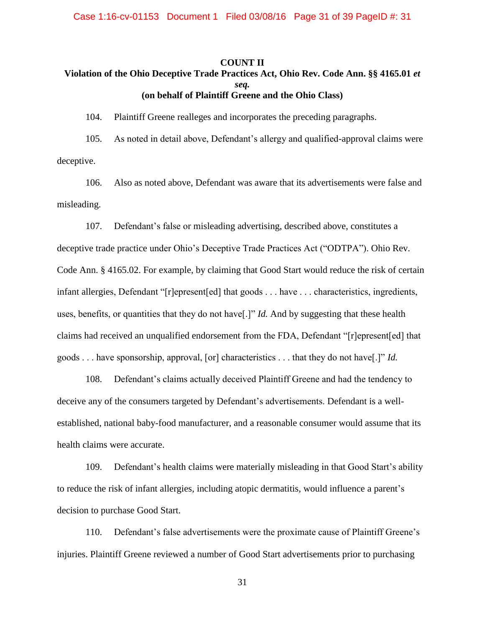### **COUNT II Violation of the Ohio Deceptive Trade Practices Act, Ohio Rev. Code Ann. §§ 4165.01** *et seq.* **(on behalf of Plaintiff Greene and the Ohio Class)**

104. Plaintiff Greene realleges and incorporates the preceding paragraphs.

105. As noted in detail above, Defendant's allergy and qualified-approval claims were deceptive.

106. Also as noted above, Defendant was aware that its advertisements were false and misleading.

107. Defendant's false or misleading advertising, described above, constitutes a deceptive trade practice under Ohio's Deceptive Trade Practices Act ("ODTPA"). Ohio Rev. Code Ann. § 4165.02. For example, by claiming that Good Start would reduce the risk of certain infant allergies, Defendant "[r]epresent[ed] that goods . . . have . . . characteristics, ingredients, uses, benefits, or quantities that they do not have[.]" *Id.* And by suggesting that these health claims had received an unqualified endorsement from the FDA, Defendant "[r]epresent[ed] that goods . . . have sponsorship, approval, [or] characteristics . . . that they do not have[.]" *Id.*

108. Defendant's claims actually deceived Plaintiff Greene and had the tendency to deceive any of the consumers targeted by Defendant's advertisements. Defendant is a wellestablished, national baby-food manufacturer, and a reasonable consumer would assume that its health claims were accurate.

109. Defendant's health claims were materially misleading in that Good Start's ability to reduce the risk of infant allergies, including atopic dermatitis, would influence a parent's decision to purchase Good Start.

110. Defendant's false advertisements were the proximate cause of Plaintiff Greene's injuries. Plaintiff Greene reviewed a number of Good Start advertisements prior to purchasing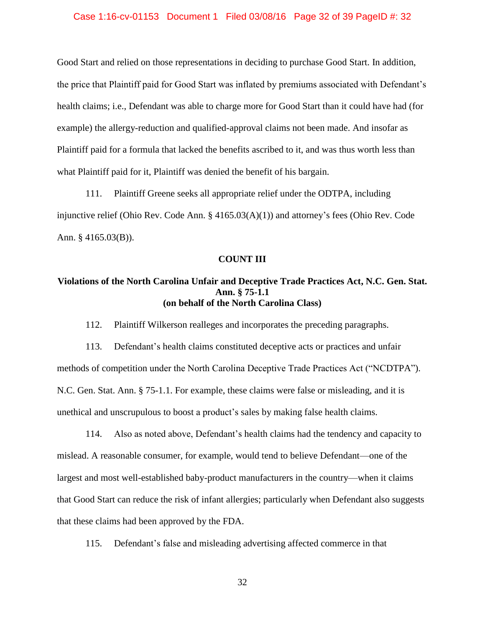#### Case 1:16-cv-01153 Document 1 Filed 03/08/16 Page 32 of 39 PageID #: 32

Good Start and relied on those representations in deciding to purchase Good Start. In addition, the price that Plaintiff paid for Good Start was inflated by premiums associated with Defendant's health claims; i.e., Defendant was able to charge more for Good Start than it could have had (for example) the allergy-reduction and qualified-approval claims not been made. And insofar as Plaintiff paid for a formula that lacked the benefits ascribed to it, and was thus worth less than what Plaintiff paid for it, Plaintiff was denied the benefit of his bargain.

111. Plaintiff Greene seeks all appropriate relief under the ODTPA, including injunctive relief (Ohio Rev. Code Ann. § 4165.03(A)(1)) and attorney's fees (Ohio Rev. Code Ann. § 4165.03(B)).

#### **COUNT III**

### **Violations of the North Carolina Unfair and Deceptive Trade Practices Act, N.C. Gen. Stat. Ann. § 75-1.1 (on behalf of the North Carolina Class)**

112. Plaintiff Wilkerson realleges and incorporates the preceding paragraphs.

113. Defendant's health claims constituted deceptive acts or practices and unfair methods of competition under the North Carolina Deceptive Trade Practices Act ("NCDTPA"). N.C. Gen. Stat. Ann. § 75-1.1. For example, these claims were false or misleading, and it is unethical and unscrupulous to boost a product's sales by making false health claims.

114. Also as noted above, Defendant's health claims had the tendency and capacity to mislead. A reasonable consumer, for example, would tend to believe Defendant—one of the largest and most well-established baby-product manufacturers in the country—when it claims that Good Start can reduce the risk of infant allergies; particularly when Defendant also suggests that these claims had been approved by the FDA.

115. Defendant's false and misleading advertising affected commerce in that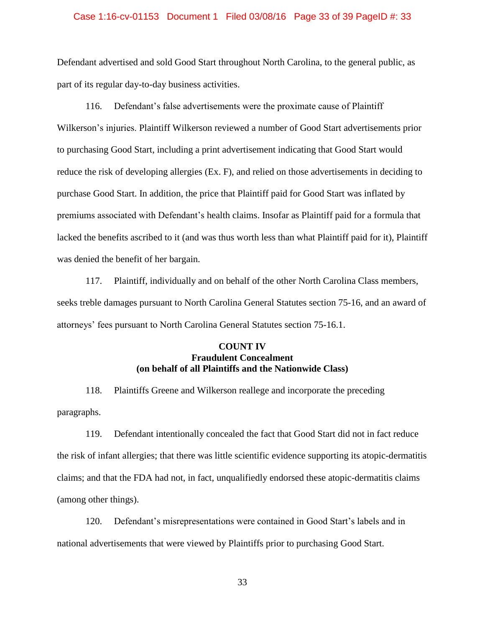#### Case 1:16-cv-01153 Document 1 Filed 03/08/16 Page 33 of 39 PageID #: 33

Defendant advertised and sold Good Start throughout North Carolina, to the general public, as part of its regular day-to-day business activities.

116. Defendant's false advertisements were the proximate cause of Plaintiff Wilkerson's injuries. Plaintiff Wilkerson reviewed a number of Good Start advertisements prior to purchasing Good Start, including a print advertisement indicating that Good Start would reduce the risk of developing allergies (Ex. F), and relied on those advertisements in deciding to purchase Good Start. In addition, the price that Plaintiff paid for Good Start was inflated by premiums associated with Defendant's health claims. Insofar as Plaintiff paid for a formula that lacked the benefits ascribed to it (and was thus worth less than what Plaintiff paid for it), Plaintiff was denied the benefit of her bargain.

117. Plaintiff, individually and on behalf of the other North Carolina Class members, seeks treble damages pursuant to North Carolina General Statutes section 75-16, and an award of attorneys' fees pursuant to North Carolina General Statutes section 75-16.1.

### **COUNT IV Fraudulent Concealment (on behalf of all Plaintiffs and the Nationwide Class)**

118. Plaintiffs Greene and Wilkerson reallege and incorporate the preceding paragraphs.

119. Defendant intentionally concealed the fact that Good Start did not in fact reduce the risk of infant allergies; that there was little scientific evidence supporting its atopic-dermatitis claims; and that the FDA had not, in fact, unqualifiedly endorsed these atopic-dermatitis claims (among other things).

120. Defendant's misrepresentations were contained in Good Start's labels and in national advertisements that were viewed by Plaintiffs prior to purchasing Good Start.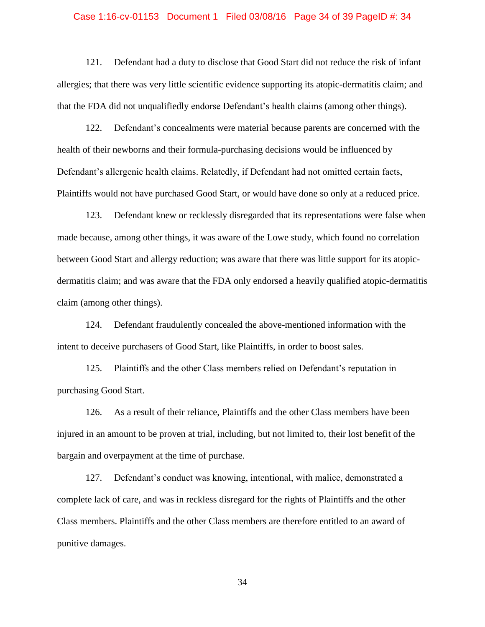## Case 1:16-cv-01153 Document 1 Filed 03/08/16 Page 34 of 39 PageID #: 34

121. Defendant had a duty to disclose that Good Start did not reduce the risk of infant allergies; that there was very little scientific evidence supporting its atopic-dermatitis claim; and that the FDA did not unqualifiedly endorse Defendant's health claims (among other things).

122. Defendant's concealments were material because parents are concerned with the health of their newborns and their formula-purchasing decisions would be influenced by Defendant's allergenic health claims. Relatedly, if Defendant had not omitted certain facts, Plaintiffs would not have purchased Good Start, or would have done so only at a reduced price.

123. Defendant knew or recklessly disregarded that its representations were false when made because, among other things, it was aware of the Lowe study, which found no correlation between Good Start and allergy reduction; was aware that there was little support for its atopicdermatitis claim; and was aware that the FDA only endorsed a heavily qualified atopic-dermatitis claim (among other things).

124. Defendant fraudulently concealed the above-mentioned information with the intent to deceive purchasers of Good Start, like Plaintiffs, in order to boost sales.

125. Plaintiffs and the other Class members relied on Defendant's reputation in purchasing Good Start.

126. As a result of their reliance, Plaintiffs and the other Class members have been injured in an amount to be proven at trial, including, but not limited to, their lost benefit of the bargain and overpayment at the time of purchase.

127. Defendant's conduct was knowing, intentional, with malice, demonstrated a complete lack of care, and was in reckless disregard for the rights of Plaintiffs and the other Class members. Plaintiffs and the other Class members are therefore entitled to an award of punitive damages.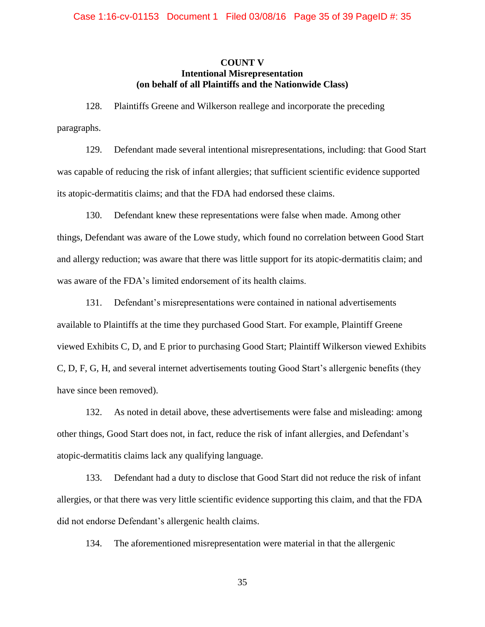### **COUNT V Intentional Misrepresentation (on behalf of all Plaintiffs and the Nationwide Class)**

128. Plaintiffs Greene and Wilkerson reallege and incorporate the preceding paragraphs.

129. Defendant made several intentional misrepresentations, including: that Good Start was capable of reducing the risk of infant allergies; that sufficient scientific evidence supported its atopic-dermatitis claims; and that the FDA had endorsed these claims.

130. Defendant knew these representations were false when made. Among other things, Defendant was aware of the Lowe study, which found no correlation between Good Start and allergy reduction; was aware that there was little support for its atopic-dermatitis claim; and was aware of the FDA's limited endorsement of its health claims.

131. Defendant's misrepresentations were contained in national advertisements available to Plaintiffs at the time they purchased Good Start. For example, Plaintiff Greene viewed Exhibits C, D, and E prior to purchasing Good Start; Plaintiff Wilkerson viewed Exhibits C, D, F, G, H, and several internet advertisements touting Good Start's allergenic benefits (they have since been removed).

132. As noted in detail above, these advertisements were false and misleading: among other things, Good Start does not, in fact, reduce the risk of infant allergies, and Defendant's atopic-dermatitis claims lack any qualifying language.

133. Defendant had a duty to disclose that Good Start did not reduce the risk of infant allergies, or that there was very little scientific evidence supporting this claim, and that the FDA did not endorse Defendant's allergenic health claims.

134. The aforementioned misrepresentation were material in that the allergenic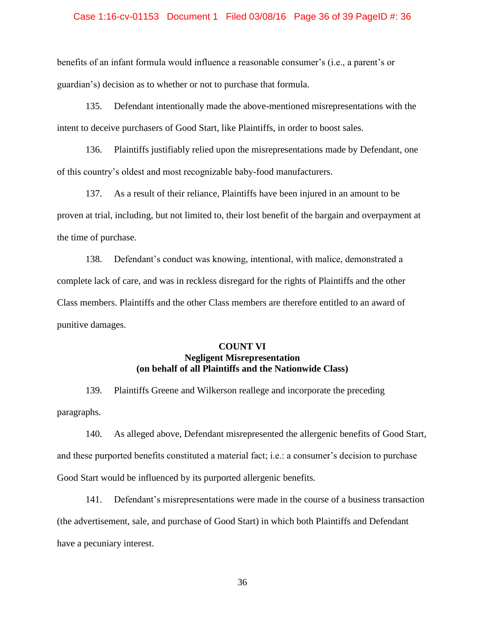## Case 1:16-cv-01153 Document 1 Filed 03/08/16 Page 36 of 39 PageID #: 36

benefits of an infant formula would influence a reasonable consumer's (i.e., a parent's or guardian's) decision as to whether or not to purchase that formula.

135. Defendant intentionally made the above-mentioned misrepresentations with the intent to deceive purchasers of Good Start, like Plaintiffs, in order to boost sales.

136. Plaintiffs justifiably relied upon the misrepresentations made by Defendant, one of this country's oldest and most recognizable baby-food manufacturers.

137. As a result of their reliance, Plaintiffs have been injured in an amount to be proven at trial, including, but not limited to, their lost benefit of the bargain and overpayment at the time of purchase.

138. Defendant's conduct was knowing, intentional, with malice, demonstrated a complete lack of care, and was in reckless disregard for the rights of Plaintiffs and the other Class members. Plaintiffs and the other Class members are therefore entitled to an award of punitive damages.

### **COUNT VI Negligent Misrepresentation (on behalf of all Plaintiffs and the Nationwide Class)**

139. Plaintiffs Greene and Wilkerson reallege and incorporate the preceding paragraphs.

140. As alleged above, Defendant misrepresented the allergenic benefits of Good Start, and these purported benefits constituted a material fact; i.e.: a consumer's decision to purchase Good Start would be influenced by its purported allergenic benefits.

141. Defendant's misrepresentations were made in the course of a business transaction (the advertisement, sale, and purchase of Good Start) in which both Plaintiffs and Defendant have a pecuniary interest.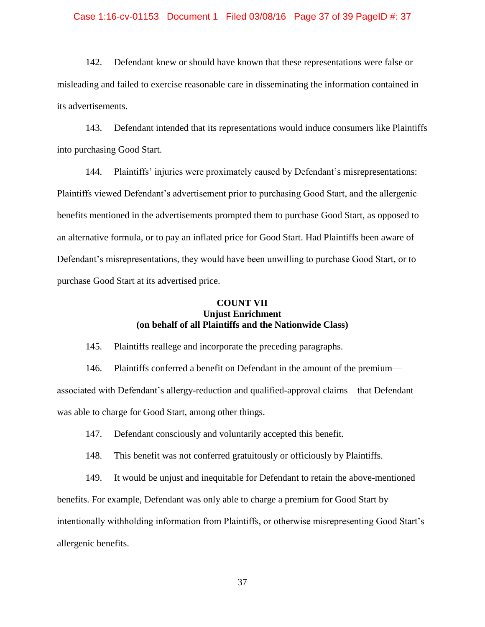#### Case 1:16-cv-01153 Document 1 Filed 03/08/16 Page 37 of 39 PageID #: 37

142. Defendant knew or should have known that these representations were false or misleading and failed to exercise reasonable care in disseminating the information contained in its advertisements.

143. Defendant intended that its representations would induce consumers like Plaintiffs into purchasing Good Start.

144. Plaintiffs' injuries were proximately caused by Defendant's misrepresentations: Plaintiffs viewed Defendant's advertisement prior to purchasing Good Start, and the allergenic benefits mentioned in the advertisements prompted them to purchase Good Start, as opposed to an alternative formula, or to pay an inflated price for Good Start. Had Plaintiffs been aware of Defendant's misrepresentations, they would have been unwilling to purchase Good Start, or to purchase Good Start at its advertised price.

### **COUNT VII Unjust Enrichment (on behalf of all Plaintiffs and the Nationwide Class)**

145. Plaintiffs reallege and incorporate the preceding paragraphs.

146. Plaintiffs conferred a benefit on Defendant in the amount of the premium associated with Defendant's allergy-reduction and qualified-approval claims—that Defendant was able to charge for Good Start, among other things.

147. Defendant consciously and voluntarily accepted this benefit.

148. This benefit was not conferred gratuitously or officiously by Plaintiffs.

149. It would be unjust and inequitable for Defendant to retain the above-mentioned

benefits. For example, Defendant was only able to charge a premium for Good Start by

intentionally withholding information from Plaintiffs, or otherwise misrepresenting Good Start's allergenic benefits.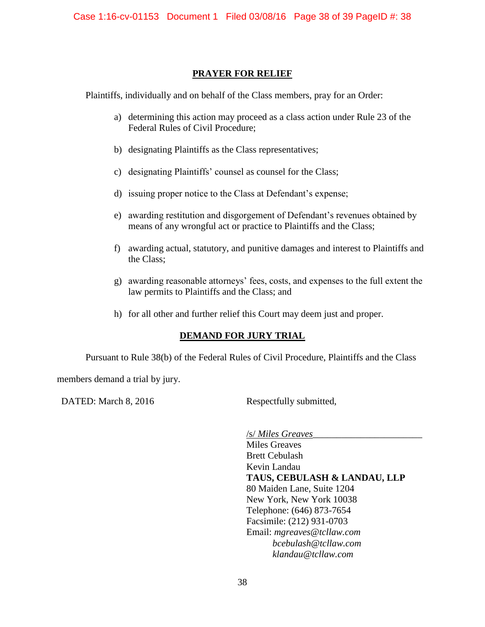## **PRAYER FOR RELIEF**

Plaintiffs, individually and on behalf of the Class members, pray for an Order:

- a) determining this action may proceed as a class action under Rule 23 of the Federal Rules of Civil Procedure;
- b) designating Plaintiffs as the Class representatives;
- c) designating Plaintiffs' counsel as counsel for the Class;
- d) issuing proper notice to the Class at Defendant's expense;
- e) awarding restitution and disgorgement of Defendant's revenues obtained by means of any wrongful act or practice to Plaintiffs and the Class;
- f) awarding actual, statutory, and punitive damages and interest to Plaintiffs and the Class;
- g) awarding reasonable attorneys' fees, costs, and expenses to the full extent the law permits to Plaintiffs and the Class; and
- h) for all other and further relief this Court may deem just and proper.

### **DEMAND FOR JURY TRIAL**

Pursuant to Rule 38(b) of the Federal Rules of Civil Procedure, Plaintiffs and the Class

members demand a trial by jury.

DATED: March 8, 2016 Respectfully submitted,

/s/ *Miles Greaves*\_\_\_\_\_\_\_\_\_\_\_\_\_\_\_\_\_\_\_\_\_\_\_ Miles Greaves Brett Cebulash Kevin Landau **TAUS, CEBULASH & LANDAU, LLP** 80 Maiden Lane, Suite 1204 New York, New York 10038 Telephone: (646) 873-7654 Facsimile: (212) 931-0703 Email: *mgreaves@tcllaw.com bcebulash@tcllaw.com klandau@tcllaw.com*